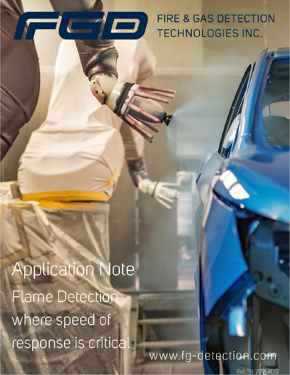

 $\blacksquare$ 

**Application Note Flame Detection** where speed of response is critical

# www.fg-detection.com

Ref: TN: 2021-X012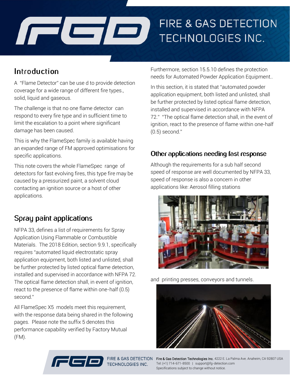

### Introduction

A "Flame Detector" can be use d to provide detection coverage for a wide range of different fire types., solid, liquid and gaseous.

The challenge is that no one flame detector can respond to every fire type and in sufficient time to limit the escalation to a point where significant damage has been caused.

This is why the FlameSpec family is available having an expanded range of FM approved optimisations for specific applications.

This note covers the whole FlameSpec range of detectors for fast evolving fires, this type fire may be caused by a pressurized paint, a solvent cloud contacting an ignition source or a host of other applications.

#### Spray paint applications

NFPA 33, defines a list of requirements for Spray Application Using Flammable or Combustible Materials. The 2018 Edition, section 9.9.1, specifically requires "automated liquid electrostatic spray application equipment, both listed and unlisted, shall be further protected by listed optical flame detection, installed and supervised in accordance with NFPA 72. The optical flame detection shall, in event of ignition, react to the presence of flame within one-half (0.5) second."

All FlameSpec X5 models meet this requirement, with the response data being shared in the following pages. Please note the suffix 5 denotes this performance capability verified by Factory Mutual (FM).

Furthermore, section 15.5.10 defines the protection needs for Automated Powder Application Equipment..

In this section, it is stated that "automated powder application equipment, both listed and unlisted, shall be further protected by listed optical flame detection, installed and supervised in accordance with NFPA 72." "The optical flame detection shall, in the event of ignition, react to the presence of flame within one-half (0.5) second."

#### Other applications needing fast response

Although the requirements for a sub half second speed of response are well documented by NFPA 33, speed of response is also a concern in other applications like: Aerosol filling stations



and printing presses, conveyors and tunnels.





TECHNOLOGIES INC.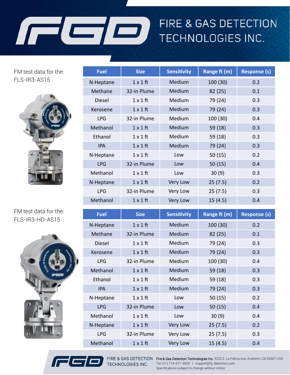## $\sqrt{1-\sqrt{1-\frac{1}{2}}}$ FIRE & GAS DETECTION TECHNOLOGIES INC.

FM test data for the: FLS-IR3-AS15



FM test data for the: FLS-IR3-HD-AS15



| <b>Fuel</b>             | <b>Size</b>                    | <b>Sensitivity</b>   | Range ft (m)       | <b>Response (s)</b> |
|-------------------------|--------------------------------|----------------------|--------------------|---------------------|
| N-Heptane               | $1 \times 1$ ft                | Medium               | 100 (30)           | 0.2                 |
| Methane                 | 32-in Plume                    | Medium               | 82 (25)            | 0.1                 |
| <b>Diesel</b>           | $1 \times 1$ ft                | Medium               | 79 (24)            | 0.3                 |
| Kerosene                | $1 \times 1$ ft                | Medium               | 79 (24)            | 0.3                 |
| <b>LPG</b>              | 32-in Plume                    | Medium               | 100 (30)           | 0.4                 |
| Methanol                | $1 \times 1$ ft                | Medium               | 59 (18)            | 0.3                 |
| Ethanol                 | $1 \times 1$ ft                | Medium               | 59 (18)            | 0.3                 |
| <b>IPA</b>              | $1 \times 1$ ft                | Medium               | 79 (24)            | 0.3                 |
| N-Heptane               | $1 \times 1$ ft                | Low                  | 50 (15)            | 0.2                 |
| <b>LPG</b>              | 32-in Plume                    | Low                  | 50(15)             | 0.4                 |
| Methanol                | $1 \times 1$ ft                | Low                  | 30(9)              | 0.3                 |
| N-Heptane               | $1 \times 1$ ft                | Very Low             | 25(7.5)            | 0.2                 |
| <b>LPG</b>              | 32-in Plume                    | Very Low             | 25(7.5)            | 0.3                 |
| Methanol                | $1 \times 1$ ft                | Very Low             | 15(4.5)            | 0.4                 |
|                         |                                |                      |                    |                     |
|                         |                                |                      |                    |                     |
| <b>Fuel</b>             | <b>Size</b>                    | <b>Sensitivity</b>   | Range ft (m)       | <b>Response (s)</b> |
| N-Heptane               | $1 \times 1$ ft                | Medium               | 100 (30)           | 0.2                 |
| Methane                 | 32-in Plume                    | Medium               | 82 (25)            | 0.1                 |
| <b>Diesel</b>           | $1 \times 1$ ft                | Medium               | 79 (24)            | 0.3                 |
| Kerosene                | $1 \times 1$ ft                | Medium               | 79 (24)            | 0.3                 |
| <b>LPG</b>              | 32-in Plume                    | Medium               | 100 (30)           | 0.4                 |
| Methanol                | $1 \times 1$ ft                | Medium               | 59 (18)            | 0.3                 |
| Ethanol                 | $1 \times 1$ ft                | Medium               | 59 (18)            | 0.3                 |
| <b>IPA</b>              | $1 \times 1$ ft                | Medium               | 79 (24)            | 0.3                 |
| N-Heptane               | $1 \times 1$ ft                | Low<br>Low           | 50(15)             | 0.2                 |
| <b>LPG</b>              | 32-in Plume                    |                      | 50(15)             | 0.4                 |
| Methanol                | $1 \times 1$ ft                | Low                  | 30(9)              | 0.4<br>0.2          |
| N-Heptane<br><b>LPG</b> | $1 \times 1$ ft<br>32-in Plume | Very Low<br>Very Low | 25(7.5)<br>25(7.5) | 0.3                 |



TECHNOLOGIES INC.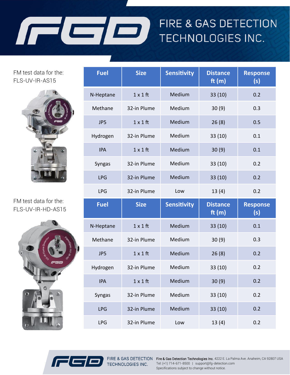## $\sqrt{1-\sqrt{1-\frac{1}{2}}}$ FIRE & GAS DETECTION TECHNOLOGIES INC.

FM test data for the: FLS-UV-IR-AS15



FM test data for the: FLS-UV-IR-HD-AS15



| <b>Fuel</b> | <b>Size</b>     | <b>Sensitivity</b> | <b>Distance</b><br>ft $(m)$ | <b>Response</b><br>(s) |
|-------------|-----------------|--------------------|-----------------------------|------------------------|
| N-Heptane   | $1 \times 1$ ft | Medium             | 33 (10)                     | 0.2                    |
| Methane     | 32-in Plume     | Medium             | 30(9)                       | 0.3                    |
| JP5         | $1 \times 1$ ft | Medium             | 26(8)                       | 0.5                    |
| Hydrogen    | 32-in Plume     | Medium             | 33(10)                      | 0.1                    |
| <b>IPA</b>  | $1 \times 1$ ft | Medium             | 30(9)                       | 0.1                    |
| Syngas      | 32-in Plume     | Medium             | 33 (10)                     | 0.2                    |
| <b>LPG</b>  | 32-in Plume     | Medium             | 33(10)                      | 0.2                    |
| <b>LPG</b>  | 32-in Plume     | Low                | 13(4)                       | 0.2                    |
|             |                 |                    |                             |                        |
| <b>Fuel</b> | <b>Size</b>     | <b>Sensitivity</b> | <b>Distance</b><br>ft $(m)$ | <b>Response</b><br>(s) |
| N-Heptane   | $1 \times 1$ ft | Medium             | 33 (10)                     | 0.1                    |
| Methane     | 32-in Plume     | Medium             | 30(9)                       | 0.3                    |
| JP5         | $1 \times 1$ ft | Medium             | 26(8)                       | 0.2                    |
| Hydrogen    | 32-in Plume     | Medium             | 33 (10)                     | 0.2                    |
| <b>IPA</b>  | $1 \times 1$ ft | Medium             | 30(9)                       | 0.2                    |
| Syngas      | 32-in Plume     | Medium             | 33 (10)                     | 0.2                    |
| <b>LPG</b>  | 32-in Plume     | Medium             | 33 (10)                     | 0.2                    |

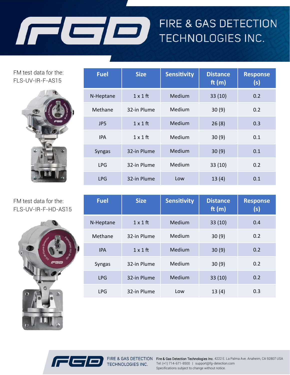## $\sqrt{2}$ FIRE & GAS DETECTION TECHNOLOGIES INC.

FM test data for the: FLS-UV-IR-F-AS15



#### FM test data for the: FLS-UV-IR-F-HD-AS15



| <b>Fuel</b>   | <b>Size</b>     | <b>Sensitivity</b> | <b>Distance</b><br>ft $(m)$ | <b>Response</b><br>(s) |
|---------------|-----------------|--------------------|-----------------------------|------------------------|
| N-Heptane     | $1 \times 1$ ft | Medium             | 33(10)                      | 0.2                    |
| Methane       | 32-in Plume     | Medium             | 30(9)                       | 0.2                    |
| JP5           | $1 \times 1$ ft | Medium             | 26(8)                       | 0.3                    |
| <b>IPA</b>    | $1 \times 1$ ft | Medium             | 30(9)                       | 0.1                    |
| <b>Syngas</b> | 32-in Plume     | Medium             | 30(9)                       | 0.1                    |
| <b>LPG</b>    | 32-in Plume     | Medium             | 33(10)                      | 0.2                    |
| <b>LPG</b>    | 32-in Plume     | Low                | 13(4)                       | 0.1                    |

| <b>Fuel</b>   | <b>Size</b>     | <b>Sensitivity</b> | <b>Distance</b><br>ft $(m)$ | <b>Response</b><br>(s) |
|---------------|-----------------|--------------------|-----------------------------|------------------------|
| N-Heptane     | $1 \times 1$ ft | Medium             | 33(10)                      | 0.4                    |
| Methane       | 32-in Plume     | Medium             | 30(9)                       | 0.2                    |
| <b>IPA</b>    | $1 \times 1$ ft | Medium             | 30(9)                       | 0.2                    |
| <b>Syngas</b> | 32-in Plume     | Medium             | 30(9)                       | 0.2                    |
| <b>LPG</b>    | 32-in Plume     | Medium             | 33(10)                      | 0.2                    |
| <b>LPG</b>    | 32-in Plume     | Low                | 13(4)                       | 0.3                    |



TECHNOLOGIES INC.